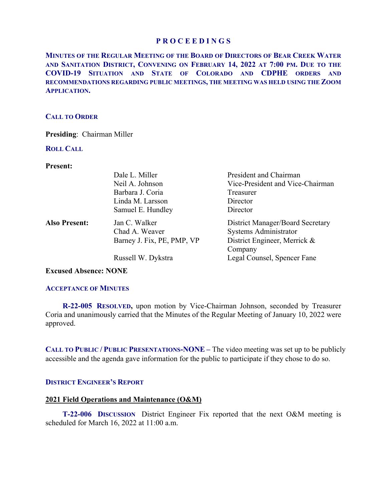**MINUTES OF THE REGULAR MEETING OF THE BOARD OF DIRECTORS OF BEAR CREEK WATER AND SANITATION DISTRICT, CONVENING ON FEBRUARY 14, 2022 AT 7:00 PM. DUE TO THE COVID-19 SITUATION AND STATE OF COLORADO AND CDPHE ORDERS AND RECOMMENDATIONS REGARDING PUBLIC MEETINGS, THE MEETING WAS HELD USING THE ZOOM APPLICATION.**

### **CALL TO ORDER**

**Presiding**: Chairman Miller

#### **ROLL CALL**

**Present:** 

|                      | Dale L. Miller             | President and Chairman           |
|----------------------|----------------------------|----------------------------------|
|                      | Neil A. Johnson            | Vice-President and Vice-Chairman |
|                      | Barbara J. Coria           | Treasurer                        |
|                      | Linda M. Larsson           | Director                         |
|                      | Samuel E. Hundley          | Director                         |
| <b>Also Present:</b> | Jan C. Walker              | District Manager/Board Secretary |
|                      | Chad A. Weaver             | Systems Administrator            |
|                      | Barney J. Fix, PE, PMP, VP | District Engineer, Merrick &     |
|                      |                            | Company                          |
|                      | Russell W. Dykstra         | Legal Counsel, Spencer Fane      |

**Excused Absence: NONE** 

### **ACCEPTANCE OF MINUTES**

 **R-22-005 RESOLVED,** upon motion by Vice-Chairman Johnson, seconded by Treasurer Coria and unanimously carried that the Minutes of the Regular Meeting of January 10, 2022 were approved.

**CALL TO PUBLIC / PUBLIC PRESENTATIONS-NONE –** The video meeting was set up to be publicly accessible and the agenda gave information for the public to participate if they chose to do so.

### **DISTRICT ENGINEER'S REPORT**

### **2021 Field Operations and Maintenance (O&M)**

 **T-22-006 DISCUSSION** District Engineer Fix reported that the next O&M meeting is scheduled for March 16, 2022 at 11:00 a.m.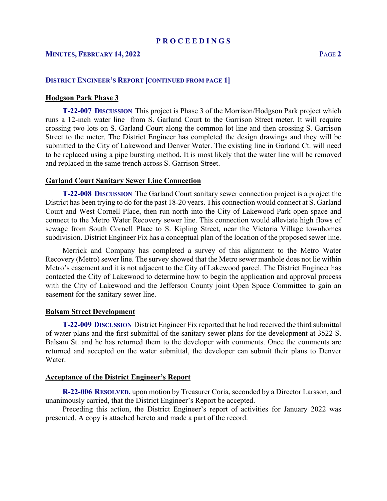## **MINUTES, FEBRUARY 14, 2022** PAGE **2**

### **DISTRICT ENGINEER'S REPORT [CONTINUED FROM PAGE 1]**

### **Hodgson Park Phase 3**

 **T-22-007 DISCUSSION** This project is Phase 3 of the Morrison/Hodgson Park project which runs a 12-inch water line from S. Garland Court to the Garrison Street meter. It will require crossing two lots on S. Garland Court along the common lot line and then crossing S. Garrison Street to the meter. The District Engineer has completed the design drawings and they will be submitted to the City of Lakewood and Denver Water. The existing line in Garland Ct. will need to be replaced using a pipe bursting method. It is most likely that the water line will be removed and replaced in the same trench across S. Garrison Street.

#### **Garland Court Sanitary Sewer Line Connection**

 **T-22-008 DISCUSSION** The Garland Court sanitary sewer connection project is a project the District has been trying to do for the past 18-20 years. This connection would connect at S. Garland Court and West Cornell Place, then run north into the City of Lakewood Park open space and connect to the Metro Water Recovery sewer line. This connection would alleviate high flows of sewage from South Cornell Place to S. Kipling Street, near the Victoria Village townhomes subdivision. District Engineer Fix has a conceptual plan of the location of the proposed sewer line.

 Merrick and Company has completed a survey of this alignment to the Metro Water Recovery (Metro) sewer line. The survey showed that the Metro sewer manhole does not lie within Metro's easement and it is not adjacent to the City of Lakewood parcel. The District Engineer has contacted the City of Lakewood to determine how to begin the application and approval process with the City of Lakewood and the Jefferson County joint Open Space Committee to gain an easement for the sanitary sewer line.

#### **Balsam Street Development**

 **T-22-009 DISCUSSION** District Engineer Fix reported that he had received the third submittal of water plans and the first submittal of the sanitary sewer plans for the development at 3522 S. Balsam St. and he has returned them to the developer with comments. Once the comments are returned and accepted on the water submittal, the developer can submit their plans to Denver Water.

#### **Acceptance of the District Engineer's Report**

**R-22-006 RESOLVED,** upon motion by Treasurer Coria, seconded by a Director Larsson, and unanimously carried, that the District Engineer's Report be accepted.

 Preceding this action, the District Engineer's report of activities for January 2022 was presented. A copy is attached hereto and made a part of the record.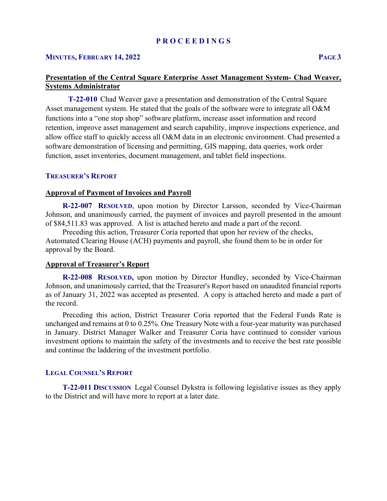#### **MINUTES, FEBRUARY 14, 2022 PAGE 3**

# **Presentation of the Central Square Enterprise Asset Management System- Chad Weaver, Systems Administrator**

**T-22-010** Chad Weaver gave a presentation and demonstration of the Central Square Asset management system. He stated that the goals of the software were to integrate all O&M functions into a "one stop shop" software platform, increase asset information and record retention, improve asset management and search capability, improve inspections experience, and allow office staff to quickly access all O&M data in an electronic environment. Chad presented a software demonstration of licensing and permitting, GIS mapping, data queries, work order function, asset inventories, document management, and tablet field inspections.

### **TREASURER'S REPORT**

## **Approval of Payment of Invoices and Payroll**

 **R-22-007 RESOLVED**, upon motion by Director Larsson, seconded by Vice-Chairman Johnson, and unanimously carried, the payment of invoices and payroll presented in the amount of \$84,511.83 was approved. A list is attached hereto and made a part of the record.

 Preceding this action, Treasurer Coria reported that upon her review of the checks, Automated Clearing House (ACH) payments and payroll, she found them to be in order for approval by the Board.

### **Approval of Treasurer's Report**

 **R-22-008 RESOLVED,** upon motion by Director Hundley, seconded by Vice-Chairman Johnson, and unanimously carried, that the Treasurer's Report based on unaudited financial reports as of January 31, 2022 was accepted as presented. A copy is attached hereto and made a part of the record.

 Preceding this action, District Treasurer Coria reported that the Federal Funds Rate is unchanged and remains at 0 to 0.25%. One Treasury Note with a four-year maturity was purchased in January. District Manager Walker and Treasurer Coria have continued to consider various investment options to maintain the safety of the investments and to receive the best rate possible and continue the laddering of the investment portfolio.

#### **LEGAL COUNSEL'S REPORT**

 **T-22-011 DISCUSSION** Legal Counsel Dykstra is following legislative issues as they apply to the District and will have more to report at a later date.